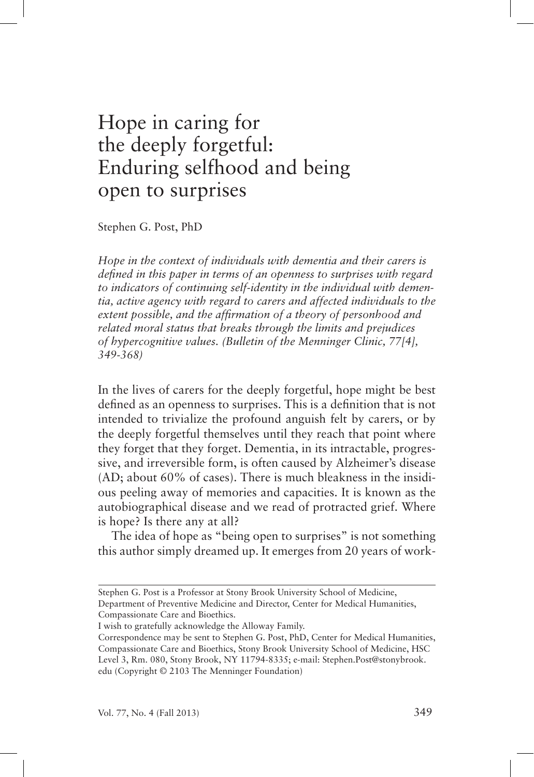# Hope in caring for the deeply forgetful: Enduring selfhood and being open to surprises

Stephen G. Post, PhD

*Hope in the context of individuals with dementia and their carers is defined in this paper in terms of an openness to surprises with regard to indicators of continuing self-identity in the individual with dementia, active agency with regard to carers and affected individuals to the extent possible, and the affirmation of a theory of personhood and related moral status that breaks through the limits and prejudices of hypercognitive values. (Bulletin of the Menninger Clinic, 77[4], 349-368)*

In the lives of carers for the deeply forgetful, hope might be best defined as an openness to surprises. This is a definition that is not intended to trivialize the profound anguish felt by carers, or by the deeply forgetful themselves until they reach that point where they forget that they forget. Dementia, in its intractable, progressive, and irreversible form, is often caused by Alzheimer's disease (AD; about 60% of cases). There is much bleakness in the insidious peeling away of memories and capacities. It is known as the autobiographical disease and we read of protracted grief. Where is hope? Is there any at all?

The idea of hope as "being open to surprises" is not something this author simply dreamed up. It emerges from 20 years of work-

Stephen G. Post is a Professor at Stony Brook University School of Medicine,

Department of Preventive Medicine and Director, Center for Medical Humanities, Compassionate Care and Bioethics.

I wish to gratefully acknowledge the Alloway Family.

Correspondence may be sent to Stephen G. Post, PhD, Center for Medical Humanities, Compassionate Care and Bioethics, Stony Brook University School of Medicine, HSC Level 3, Rm. 080, Stony Brook, NY 11794-8335; e-mail: Stephen.Post@stonybrook. edu (Copyright © 2103 The Menninger Foundation)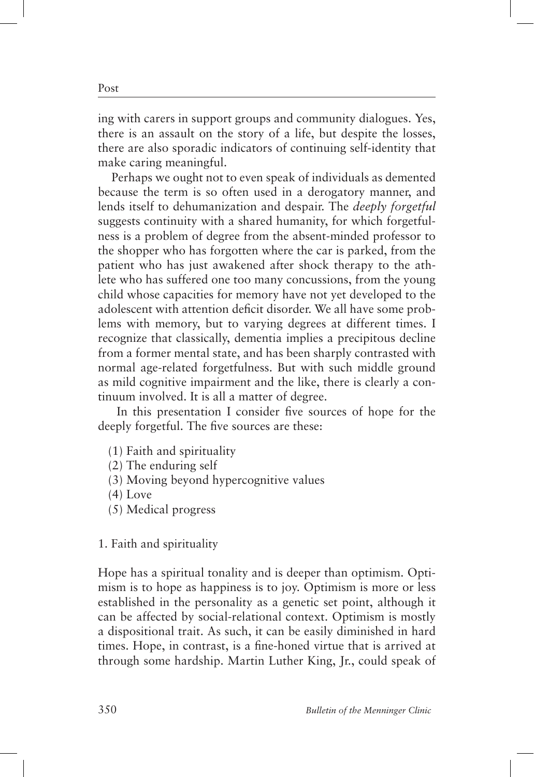ing with carers in support groups and community dialogues. Yes, there is an assault on the story of a life, but despite the losses, there are also sporadic indicators of continuing self-identity that make caring meaningful.

Perhaps we ought not to even speak of individuals as demented because the term is so often used in a derogatory manner, and lends itself to dehumanization and despair. The *deeply forgetful*  suggests continuity with a shared humanity, for which forgetfulness is a problem of degree from the absent-minded professor to the shopper who has forgotten where the car is parked, from the patient who has just awakened after shock therapy to the athlete who has suffered one too many concussions, from the young child whose capacities for memory have not yet developed to the adolescent with attention deficit disorder. We all have some problems with memory, but to varying degrees at different times. I recognize that classically, dementia implies a precipitous decline from a former mental state, and has been sharply contrasted with normal age-related forgetfulness. But with such middle ground as mild cognitive impairment and the like, there is clearly a continuum involved. It is all a matter of degree.

 In this presentation I consider five sources of hope for the deeply forgetful. The five sources are these:

- (1) Faith and spirituality
- (2) The enduring self
- (3) Moving beyond hypercognitive values
- (4) Love
- (5) Medical progress

#### 1. Faith and spirituality

Hope has a spiritual tonality and is deeper than optimism. Optimism is to hope as happiness is to joy. Optimism is more or less established in the personality as a genetic set point, although it can be affected by social-relational context. Optimism is mostly a dispositional trait. As such, it can be easily diminished in hard times. Hope, in contrast, is a fine-honed virtue that is arrived at through some hardship. Martin Luther King, Jr., could speak of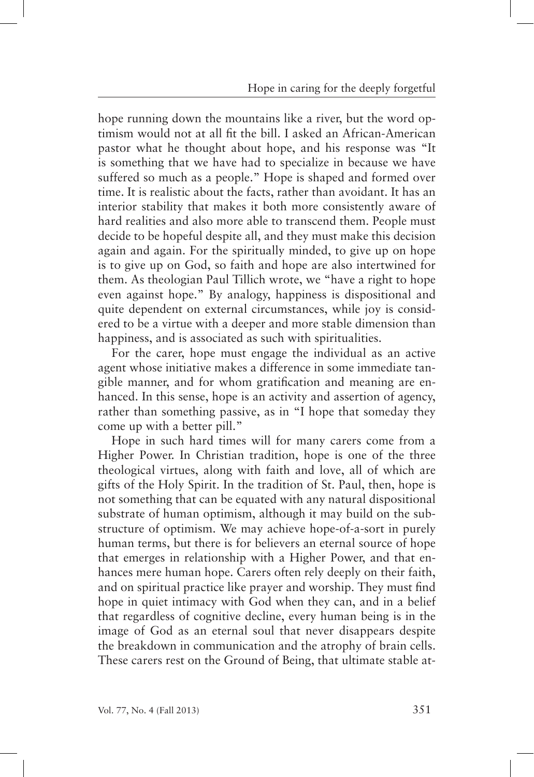hope running down the mountains like a river, but the word optimism would not at all fit the bill. I asked an African-American pastor what he thought about hope, and his response was "It is something that we have had to specialize in because we have suffered so much as a people." Hope is shaped and formed over time. It is realistic about the facts, rather than avoidant. It has an interior stability that makes it both more consistently aware of hard realities and also more able to transcend them. People must decide to be hopeful despite all, and they must make this decision again and again. For the spiritually minded, to give up on hope is to give up on God, so faith and hope are also intertwined for them. As theologian Paul Tillich wrote, we "have a right to hope even against hope." By analogy, happiness is dispositional and quite dependent on external circumstances, while joy is considered to be a virtue with a deeper and more stable dimension than happiness, and is associated as such with spiritualities.

For the carer, hope must engage the individual as an active agent whose initiative makes a difference in some immediate tangible manner, and for whom gratification and meaning are enhanced. In this sense, hope is an activity and assertion of agency, rather than something passive, as in "I hope that someday they come up with a better pill."

Hope in such hard times will for many carers come from a Higher Power. In Christian tradition, hope is one of the three theological virtues, along with faith and love, all of which are gifts of the Holy Spirit. In the tradition of St. Paul, then, hope is not something that can be equated with any natural dispositional substrate of human optimism, although it may build on the substructure of optimism. We may achieve hope-of-a-sort in purely human terms, but there is for believers an eternal source of hope that emerges in relationship with a Higher Power, and that enhances mere human hope. Carers often rely deeply on their faith, and on spiritual practice like prayer and worship. They must find hope in quiet intimacy with God when they can, and in a belief that regardless of cognitive decline, every human being is in the image of God as an eternal soul that never disappears despite the breakdown in communication and the atrophy of brain cells. These carers rest on the Ground of Being, that ultimate stable at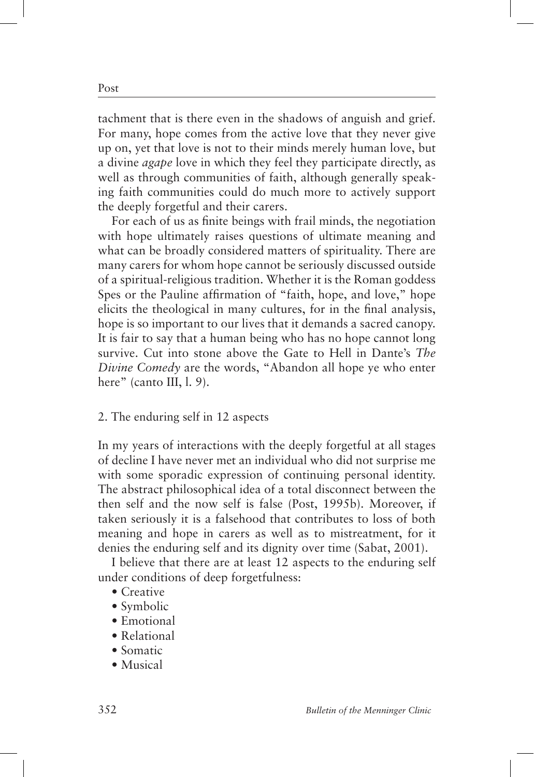tachment that is there even in the shadows of anguish and grief. For many, hope comes from the active love that they never give up on, yet that love is not to their minds merely human love, but a divine *agape* love in which they feel they participate directly, as well as through communities of faith, although generally speaking faith communities could do much more to actively support the deeply forgetful and their carers.

For each of us as finite beings with frail minds, the negotiation with hope ultimately raises questions of ultimate meaning and what can be broadly considered matters of spirituality. There are many carers for whom hope cannot be seriously discussed outside of a spiritual-religious tradition. Whether it is the Roman goddess Spes or the Pauline affirmation of "faith, hope, and love," hope elicits the theological in many cultures, for in the final analysis, hope is so important to our lives that it demands a sacred canopy. It is fair to say that a human being who has no hope cannot long survive. Cut into stone above the Gate to Hell in Dante's *The Divine Comedy* are the words, "Abandon all hope ye who enter here" (canto III, l. 9).

#### 2. The enduring self in 12 aspects

In my years of interactions with the deeply forgetful at all stages of decline I have never met an individual who did not surprise me with some sporadic expression of continuing personal identity. The abstract philosophical idea of a total disconnect between the then self and the now self is false (Post, 1995b). Moreover, if taken seriously it is a falsehood that contributes to loss of both meaning and hope in carers as well as to mistreatment, for it denies the enduring self and its dignity over time (Sabat, 2001).

I believe that there are at least 12 aspects to the enduring self under conditions of deep forgetfulness:

- Creative
- Symbolic
- Emotional
- Relational
- Somatic
- Musical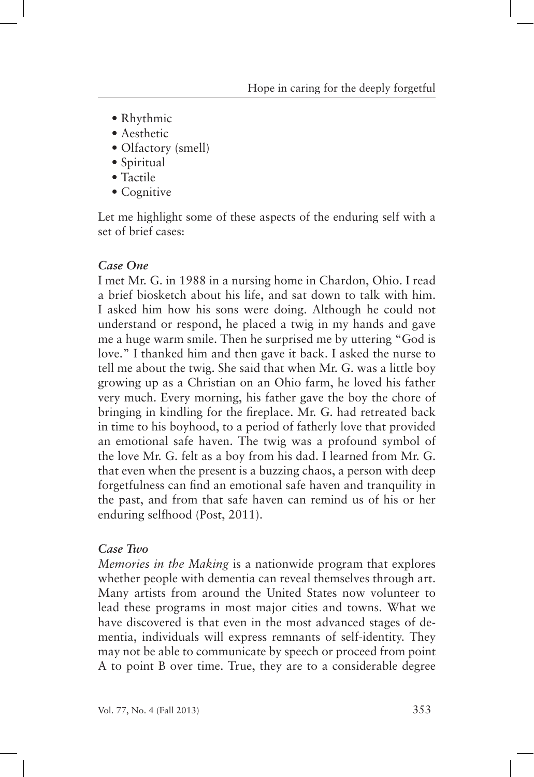- Rhythmic
- Aesthetic
- Olfactory (smell)
- Spiritual
- Tactile
- Cognitive

Let me highlight some of these aspects of the enduring self with a set of brief cases:

# *Case One*

I met Mr. G. in 1988 in a nursing home in Chardon, Ohio. I read a brief biosketch about his life, and sat down to talk with him. I asked him how his sons were doing. Although he could not understand or respond, he placed a twig in my hands and gave me a huge warm smile. Then he surprised me by uttering "God is love." I thanked him and then gave it back. I asked the nurse to tell me about the twig. She said that when Mr. G. was a little boy growing up as a Christian on an Ohio farm, he loved his father very much. Every morning, his father gave the boy the chore of bringing in kindling for the fireplace. Mr. G. had retreated back in time to his boyhood, to a period of fatherly love that provided an emotional safe haven. The twig was a profound symbol of the love Mr. G. felt as a boy from his dad. I learned from Mr. G. that even when the present is a buzzing chaos, a person with deep forgetfulness can find an emotional safe haven and tranquility in the past, and from that safe haven can remind us of his or her enduring selfhood (Post, 2011).

# *Case Two*

*Memories in the Making* is a nationwide program that explores whether people with dementia can reveal themselves through art. Many artists from around the United States now volunteer to lead these programs in most major cities and towns. What we have discovered is that even in the most advanced stages of dementia, individuals will express remnants of self-identity. They may not be able to communicate by speech or proceed from point A to point B over time. True, they are to a considerable degree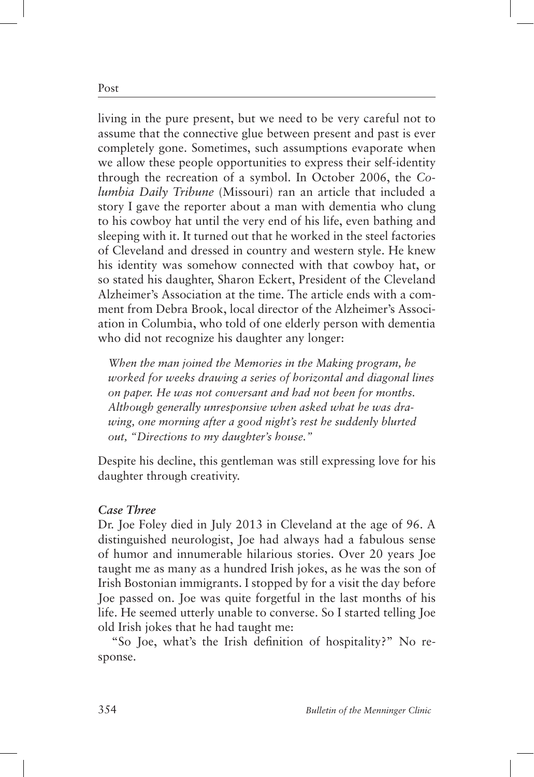living in the pure present, but we need to be very careful not to assume that the connective glue between present and past is ever completely gone. Sometimes, such assumptions evaporate when we allow these people opportunities to express their self-identity through the recreation of a symbol. In October 2006, the *Columbia Daily Tribune* (Missouri) ran an article that included a story I gave the reporter about a man with dementia who clung to his cowboy hat until the very end of his life, even bathing and sleeping with it. It turned out that he worked in the steel factories of Cleveland and dressed in country and western style. He knew his identity was somehow connected with that cowboy hat, or so stated his daughter, Sharon Eckert, President of the Cleveland Alzheimer's Association at the time. The article ends with a comment from Debra Brook, local director of the Alzheimer's Association in Columbia, who told of one elderly person with dementia who did not recognize his daughter any longer:

*When the man joined the Memories in the Making program, he worked for weeks drawing a series of horizontal and diagonal lines on paper. He was not conversant and had not been for months. Although generally unresponsive when asked what he was drawing, one morning after a good night's rest he suddenly blurted out, "Directions to my daughter's house."*

Despite his decline, this gentleman was still expressing love for his daughter through creativity.

# *Case Three*

Dr. Joe Foley died in July 2013 in Cleveland at the age of 96. A distinguished neurologist, Joe had always had a fabulous sense of humor and innumerable hilarious stories. Over 20 years Joe taught me as many as a hundred Irish jokes, as he was the son of Irish Bostonian immigrants. I stopped by for a visit the day before Joe passed on. Joe was quite forgetful in the last months of his life. He seemed utterly unable to converse. So I started telling Joe old Irish jokes that he had taught me:

"So Joe, what's the Irish definition of hospitality?" No response.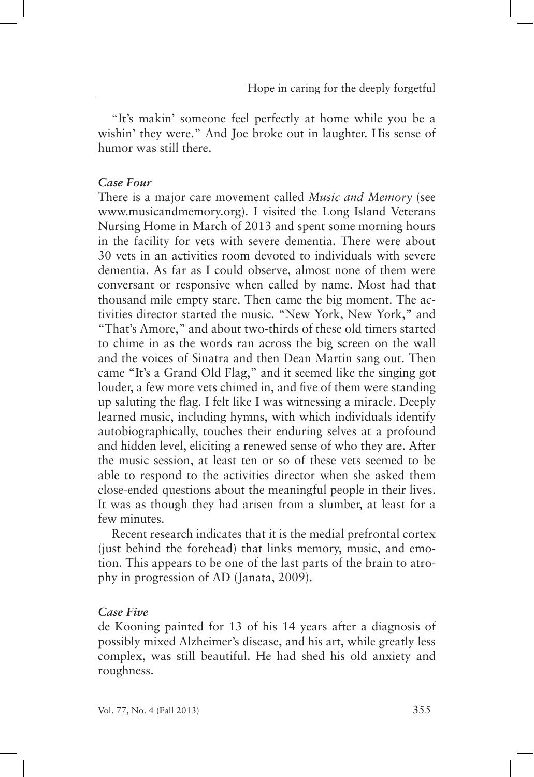"It's makin' someone feel perfectly at home while you be a wishin' they were." And Joe broke out in laughter. His sense of humor was still there.

## *Case Four*

There is a major care movement called *Music and Memory* (see www.musicandmemory.org). I visited the Long Island Veterans Nursing Home in March of 2013 and spent some morning hours in the facility for vets with severe dementia. There were about 30 vets in an activities room devoted to individuals with severe dementia. As far as I could observe, almost none of them were conversant or responsive when called by name. Most had that thousand mile empty stare. Then came the big moment. The activities director started the music. "New York, New York," and "That's Amore," and about two-thirds of these old timers started to chime in as the words ran across the big screen on the wall and the voices of Sinatra and then Dean Martin sang out. Then came "It's a Grand Old Flag," and it seemed like the singing got louder, a few more vets chimed in, and five of them were standing up saluting the flag. I felt like I was witnessing a miracle. Deeply learned music, including hymns, with which individuals identify autobiographically, touches their enduring selves at a profound and hidden level, eliciting a renewed sense of who they are. After the music session, at least ten or so of these vets seemed to be able to respond to the activities director when she asked them close-ended questions about the meaningful people in their lives. It was as though they had arisen from a slumber, at least for a few minutes.

Recent research indicates that it is the medial prefrontal cortex (just behind the forehead) that links memory, music, and emotion. This appears to be one of the last parts of the brain to atrophy in progression of AD (Janata, 2009).

## *Case Five*

de Kooning painted for 13 of his 14 years after a diagnosis of possibly mixed Alzheimer's disease, and his art, while greatly less complex, was still beautiful. He had shed his old anxiety and roughness.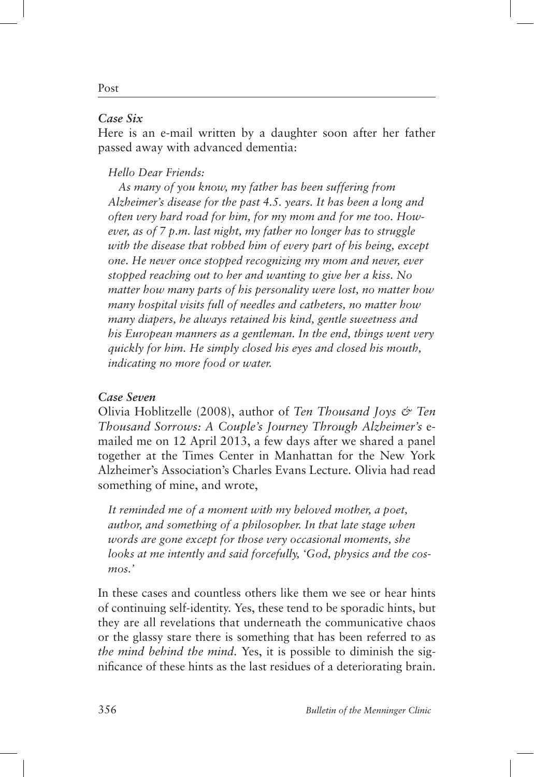## *Case Six*

Here is an e-mail written by a daughter soon after her father passed away with advanced dementia:

# *Hello Dear Friends:*

*As many of you know, my father has been suffering from Alzheimer's disease for the past 4.5. years. It has been a long and often very hard road for him, for my mom and for me too. However, as of 7 p.m. last night, my father no longer has to struggle with the disease that robbed him of every part of his being, except one. He never once stopped recognizing my mom and never, ever stopped reaching out to her and wanting to give her a kiss. No matter how many parts of his personality were lost, no matter how many hospital visits full of needles and catheters, no matter how many diapers, he always retained his kind, gentle sweetness and his European manners as a gentleman. In the end, things went very quickly for him. He simply closed his eyes and closed his mouth, indicating no more food or water.*

# *Case Seven*

Olivia Hoblitzelle (2008), author of *Ten Thousand Joys & Ten Thousand Sorrows: A Couple's Journey Through Alzheimer's* emailed me on 12 April 2013, a few days after we shared a panel together at the Times Center in Manhattan for the New York Alzheimer's Association's Charles Evans Lecture*.* Olivia had read something of mine, and wrote,

*It reminded me of a moment with my beloved mother, a poet, author, and something of a philosopher. In that late stage when words are gone except for those very occasional moments, she looks at me intently and said forcefully, 'God, physics and the cosmos.'* 

In these cases and countless others like them we see or hear hints of continuing self-identity. Yes, these tend to be sporadic hints, but they are all revelations that underneath the communicative chaos or the glassy stare there is something that has been referred to as *the mind behind the mind.* Yes, it is possible to diminish the significance of these hints as the last residues of a deteriorating brain.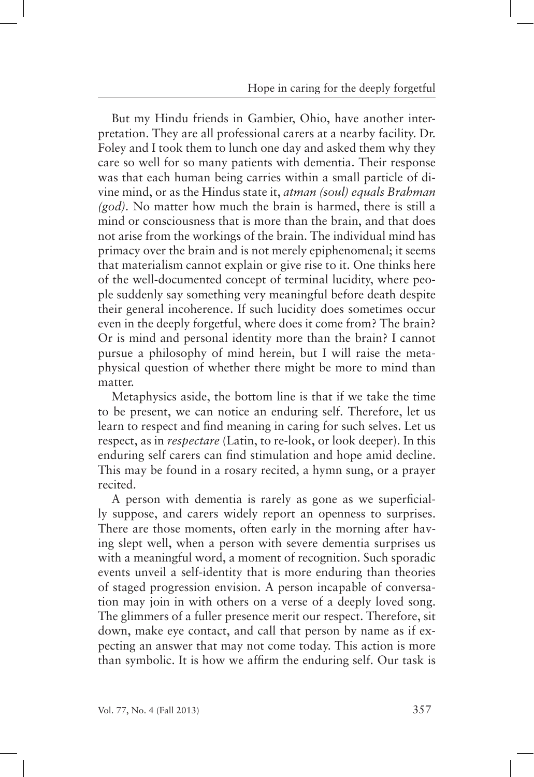But my Hindu friends in Gambier, Ohio, have another interpretation. They are all professional carers at a nearby facility. Dr. Foley and I took them to lunch one day and asked them why they care so well for so many patients with dementia. Their response was that each human being carries within a small particle of divine mind, or as the Hindus state it, *atman (soul) equals Brahman (god).* No matter how much the brain is harmed, there is still a mind or consciousness that is more than the brain, and that does not arise from the workings of the brain. The individual mind has primacy over the brain and is not merely epiphenomenal; it seems that materialism cannot explain or give rise to it. One thinks here of the well-documented concept of terminal lucidity, where people suddenly say something very meaningful before death despite their general incoherence. If such lucidity does sometimes occur even in the deeply forgetful, where does it come from? The brain? Or is mind and personal identity more than the brain? I cannot pursue a philosophy of mind herein, but I will raise the metaphysical question of whether there might be more to mind than matter.

Metaphysics aside, the bottom line is that if we take the time to be present, we can notice an enduring self. Therefore, let us learn to respect and find meaning in caring for such selves. Let us respect, as in *respectare* (Latin, to re-look, or look deeper). In this enduring self carers can find stimulation and hope amid decline. This may be found in a rosary recited, a hymn sung, or a prayer recited.

A person with dementia is rarely as gone as we superficially suppose, and carers widely report an openness to surprises. There are those moments, often early in the morning after having slept well, when a person with severe dementia surprises us with a meaningful word, a moment of recognition. Such sporadic events unveil a self-identity that is more enduring than theories of staged progression envision. A person incapable of conversation may join in with others on a verse of a deeply loved song. The glimmers of a fuller presence merit our respect. Therefore, sit down, make eye contact, and call that person by name as if expecting an answer that may not come today. This action is more than symbolic. It is how we affirm the enduring self. Our task is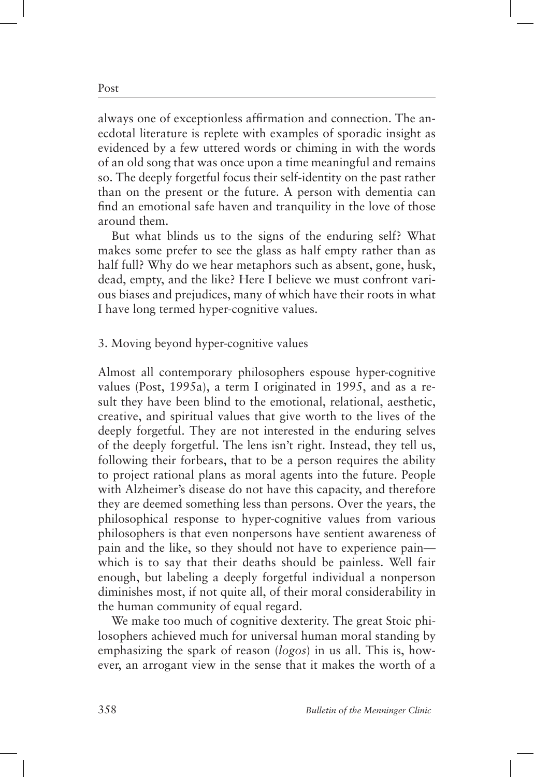always one of exceptionless affirmation and connection. The anecdotal literature is replete with examples of sporadic insight as evidenced by a few uttered words or chiming in with the words of an old song that was once upon a time meaningful and remains so. The deeply forgetful focus their self-identity on the past rather than on the present or the future. A person with dementia can find an emotional safe haven and tranquility in the love of those around them.

But what blinds us to the signs of the enduring self? What makes some prefer to see the glass as half empty rather than as half full? Why do we hear metaphors such as absent, gone, husk, dead, empty, and the like? Here I believe we must confront various biases and prejudices, many of which have their roots in what I have long termed hyper-cognitive values.

### 3. Moving beyond hyper-cognitive values

Almost all contemporary philosophers espouse hyper-cognitive values (Post, 1995a), a term I originated in 1995, and as a result they have been blind to the emotional, relational, aesthetic, creative, and spiritual values that give worth to the lives of the deeply forgetful. They are not interested in the enduring selves of the deeply forgetful. The lens isn't right. Instead, they tell us, following their forbears, that to be a person requires the ability to project rational plans as moral agents into the future. People with Alzheimer's disease do not have this capacity, and therefore they are deemed something less than persons. Over the years, the philosophical response to hyper-cognitive values from various philosophers is that even nonpersons have sentient awareness of pain and the like, so they should not have to experience pain which is to say that their deaths should be painless. Well fair enough, but labeling a deeply forgetful individual a nonperson diminishes most, if not quite all, of their moral considerability in the human community of equal regard.

We make too much of cognitive dexterity. The great Stoic philosophers achieved much for universal human moral standing by emphasizing the spark of reason (*logos*) in us all. This is, however, an arrogant view in the sense that it makes the worth of a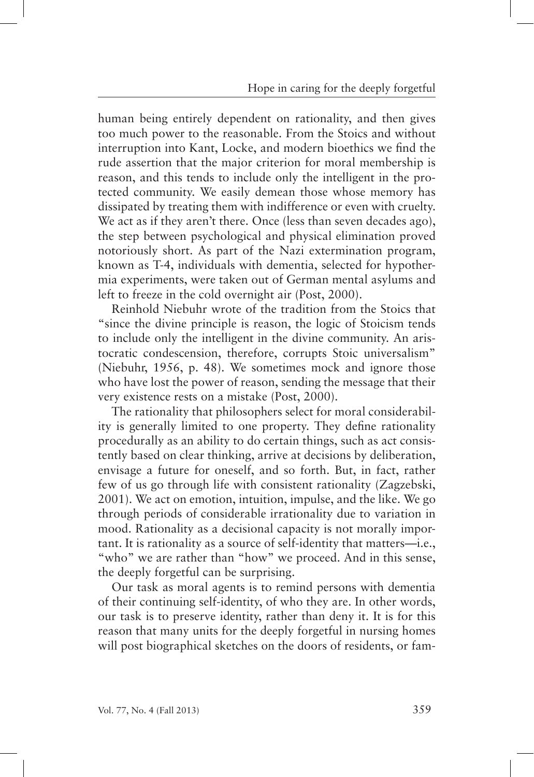human being entirely dependent on rationality, and then gives too much power to the reasonable. From the Stoics and without interruption into Kant, Locke, and modern bioethics we find the rude assertion that the major criterion for moral membership is reason, and this tends to include only the intelligent in the protected community. We easily demean those whose memory has dissipated by treating them with indifference or even with cruelty. We act as if they aren't there. Once (less than seven decades ago), the step between psychological and physical elimination proved notoriously short. As part of the Nazi extermination program, known as T-4, individuals with dementia, selected for hypothermia experiments, were taken out of German mental asylums and left to freeze in the cold overnight air (Post, 2000).

Reinhold Niebuhr wrote of the tradition from the Stoics that "since the divine principle is reason, the logic of Stoicism tends to include only the intelligent in the divine community. An aristocratic condescension, therefore, corrupts Stoic universalism" (Niebuhr, 1956, p. 48). We sometimes mock and ignore those who have lost the power of reason, sending the message that their very existence rests on a mistake (Post, 2000).

The rationality that philosophers select for moral considerability is generally limited to one property. They define rationality procedurally as an ability to do certain things, such as act consistently based on clear thinking, arrive at decisions by deliberation, envisage a future for oneself, and so forth. But, in fact, rather few of us go through life with consistent rationality (Zagzebski, 2001). We act on emotion, intuition, impulse, and the like. We go through periods of considerable irrationality due to variation in mood. Rationality as a decisional capacity is not morally important. It is rationality as a source of self-identity that matters—i.e., "who" we are rather than "how" we proceed. And in this sense, the deeply forgetful can be surprising.

Our task as moral agents is to remind persons with dementia of their continuing self-identity, of who they are. In other words, our task is to preserve identity, rather than deny it. It is for this reason that many units for the deeply forgetful in nursing homes will post biographical sketches on the doors of residents, or fam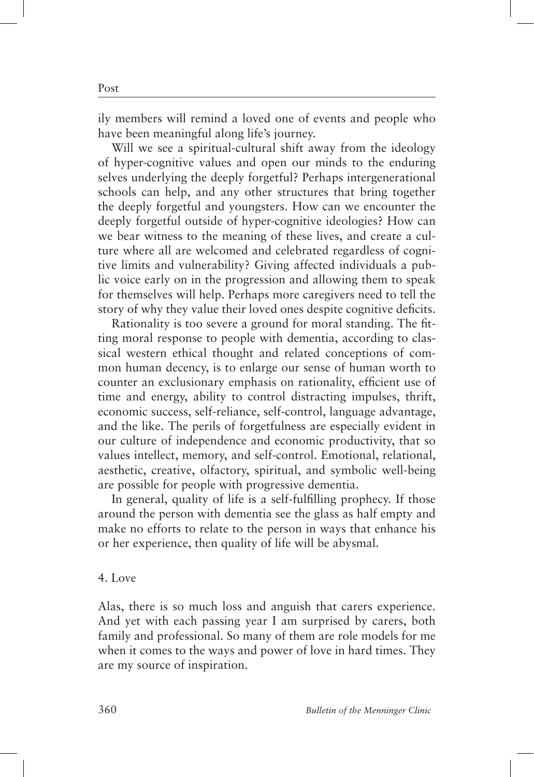ily members will remind a loved one of events and people who have been meaningful along life's journey.

Will we see a spiritual-cultural shift away from the ideology of hyper-cognitive values and open our minds to the enduring selves underlying the deeply forgetful? Perhaps intergenerational schools can help, and any other structures that bring together the deeply forgetful and youngsters. How can we encounter the deeply forgetful outside of hyper-cognitive ideologies? How can we bear witness to the meaning of these lives, and create a culture where all are welcomed and celebrated regardless of cognitive limits and vulnerability? Giving affected individuals a public voice early on in the progression and allowing them to speak for themselves will help. Perhaps more caregivers need to tell the story of why they value their loved ones despite cognitive deficits.

Rationality is too severe a ground for moral standing. The fitting moral response to people with dementia, according to classical western ethical thought and related conceptions of common human decency, is to enlarge our sense of human worth to counter an exclusionary emphasis on rationality, efficient use of time and energy, ability to control distracting impulses, thrift, economic success, self-reliance, self-control, language advantage, and the like. The perils of forgetfulness are especially evident in our culture of independence and economic productivity, that so values intellect, memory, and self-control. Emotional, relational, aesthetic, creative, olfactory, spiritual, and symbolic well-being are possible for people with progressive dementia.

In general, quality of life is a self-fulfilling prophecy. If those around the person with dementia see the glass as half empty and make no efforts to relate to the person in ways that enhance his or her experience, then quality of life will be abysmal.

#### 4. Love

Alas, there is so much loss and anguish that carers experience. And yet with each passing year I am surprised by carers, both family and professional. So many of them are role models for me when it comes to the ways and power of love in hard times. They are my source of inspiration.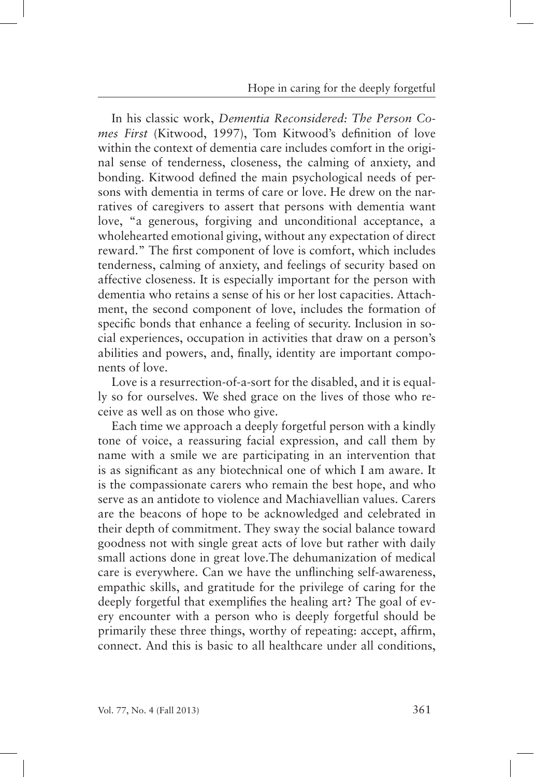In his classic work, *Dementia Reconsidered: The Person Comes First* (Kitwood, 1997), Tom Kitwood's definition of love within the context of dementia care includes comfort in the original sense of tenderness, closeness, the calming of anxiety, and bonding. Kitwood defined the main psychological needs of persons with dementia in terms of care or love. He drew on the narratives of caregivers to assert that persons with dementia want love, "a generous, forgiving and unconditional acceptance, a wholehearted emotional giving, without any expectation of direct reward." The first component of love is comfort, which includes tenderness, calming of anxiety, and feelings of security based on affective closeness. It is especially important for the person with dementia who retains a sense of his or her lost capacities. Attachment, the second component of love, includes the formation of specific bonds that enhance a feeling of security. Inclusion in social experiences, occupation in activities that draw on a person's abilities and powers, and, finally, identity are important components of love.

Love is a resurrection-of-a-sort for the disabled, and it is equally so for ourselves. We shed grace on the lives of those who receive as well as on those who give.

Each time we approach a deeply forgetful person with a kindly tone of voice, a reassuring facial expression, and call them by name with a smile we are participating in an intervention that is as significant as any biotechnical one of which I am aware. It is the compassionate carers who remain the best hope, and who serve as an antidote to violence and Machiavellian values. Carers are the beacons of hope to be acknowledged and celebrated in their depth of commitment. They sway the social balance toward goodness not with single great acts of love but rather with daily small actions done in great love.The dehumanization of medical care is everywhere. Can we have the unflinching self-awareness, empathic skills, and gratitude for the privilege of caring for the deeply forgetful that exemplifies the healing art? The goal of every encounter with a person who is deeply forgetful should be primarily these three things, worthy of repeating: accept, affirm, connect. And this is basic to all healthcare under all conditions,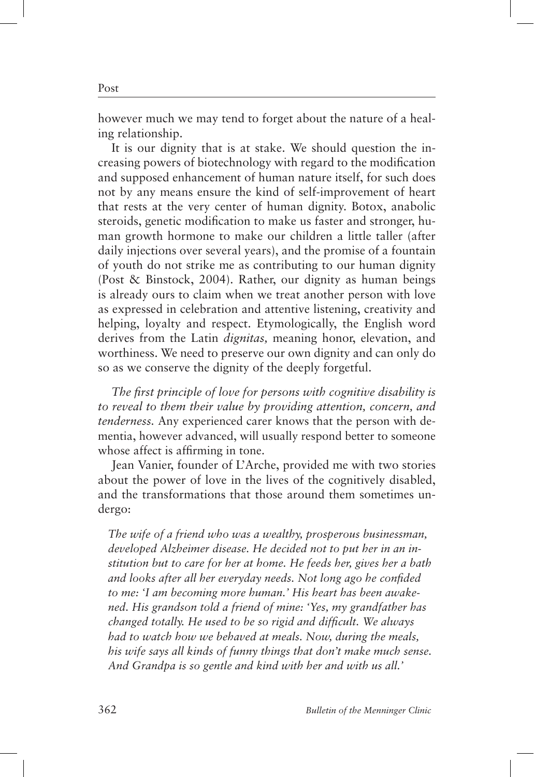however much we may tend to forget about the nature of a healing relationship.

It is our dignity that is at stake. We should question the increasing powers of biotechnology with regard to the modification and supposed enhancement of human nature itself, for such does not by any means ensure the kind of self-improvement of heart that rests at the very center of human dignity. Botox, anabolic steroids, genetic modification to make us faster and stronger, human growth hormone to make our children a little taller (after daily injections over several years), and the promise of a fountain of youth do not strike me as contributing to our human dignity (Post & Binstock, 2004). Rather, our dignity as human beings is already ours to claim when we treat another person with love as expressed in celebration and attentive listening, creativity and helping, loyalty and respect. Etymologically, the English word derives from the Latin *dignitas,* meaning honor, elevation, and worthiness. We need to preserve our own dignity and can only do so as we conserve the dignity of the deeply forgetful.

*The first principle of love for persons with cognitive disability is to reveal to them their value by providing attention, concern, and tenderness.* Any experienced carer knows that the person with dementia, however advanced, will usually respond better to someone whose affect is affirming in tone.

Jean Vanier, founder of L'Arche, provided me with two stories about the power of love in the lives of the cognitively disabled, and the transformations that those around them sometimes undergo:

*The wife of a friend who was a wealthy, prosperous businessman, developed Alzheimer disease. He decided not to put her in an institution but to care for her at home. He feeds her, gives her a bath and looks after all her everyday needs. Not long ago he confided to me: 'I am becoming more human.' His heart has been awakened. His grandson told a friend of mine: 'Yes, my grandfather has changed totally. He used to be so rigid and difficult. We always had to watch how we behaved at meals. Now, during the meals, his wife says all kinds of funny things that don't make much sense. And Grandpa is so gentle and kind with her and with us all.'*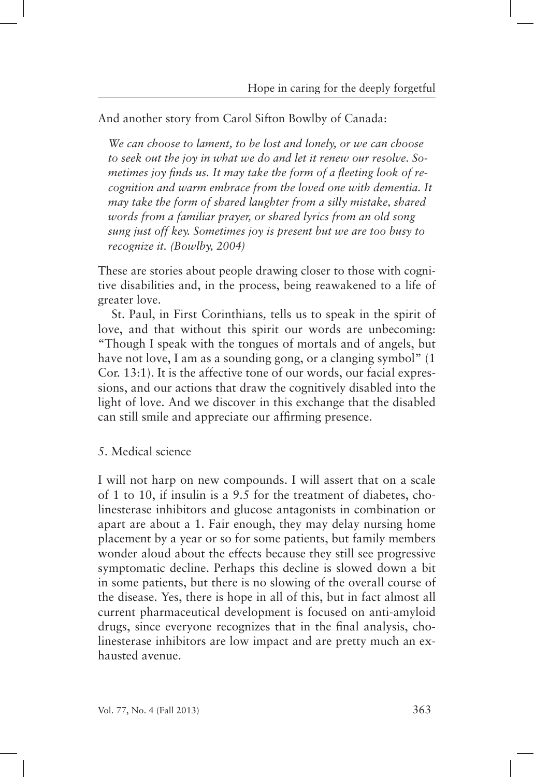And another story from Carol Sifton Bowlby of Canada:

*We can choose to lament, to be lost and lonely, or we can choose to seek out the joy in what we do and let it renew our resolve. Sometimes joy finds us. It may take the form of a fleeting look of recognition and warm embrace from the loved one with dementia. It may take the form of shared laughter from a silly mistake, shared words from a familiar prayer, or shared lyrics from an old song sung just off key. Sometimes joy is present but we are too busy to recognize it. (Bowlby, 2004)* 

These are stories about people drawing closer to those with cognitive disabilities and, in the process, being reawakened to a life of greater love.

St. Paul, in First Corinthians*,* tells us to speak in the spirit of love, and that without this spirit our words are unbecoming: "Though I speak with the tongues of mortals and of angels, but have not love, I am as a sounding gong, or a clanging symbol" (1) Cor. 13:1). It is the affective tone of our words, our facial expressions, and our actions that draw the cognitively disabled into the light of love. And we discover in this exchange that the disabled can still smile and appreciate our affirming presence.

5. Medical science

I will not harp on new compounds. I will assert that on a scale of 1 to 10, if insulin is a 9.5 for the treatment of diabetes, cholinesterase inhibitors and glucose antagonists in combination or apart are about a 1. Fair enough, they may delay nursing home placement by a year or so for some patients, but family members wonder aloud about the effects because they still see progressive symptomatic decline. Perhaps this decline is slowed down a bit in some patients, but there is no slowing of the overall course of the disease. Yes, there is hope in all of this, but in fact almost all current pharmaceutical development is focused on anti-amyloid drugs, since everyone recognizes that in the final analysis, cholinesterase inhibitors are low impact and are pretty much an exhausted avenue.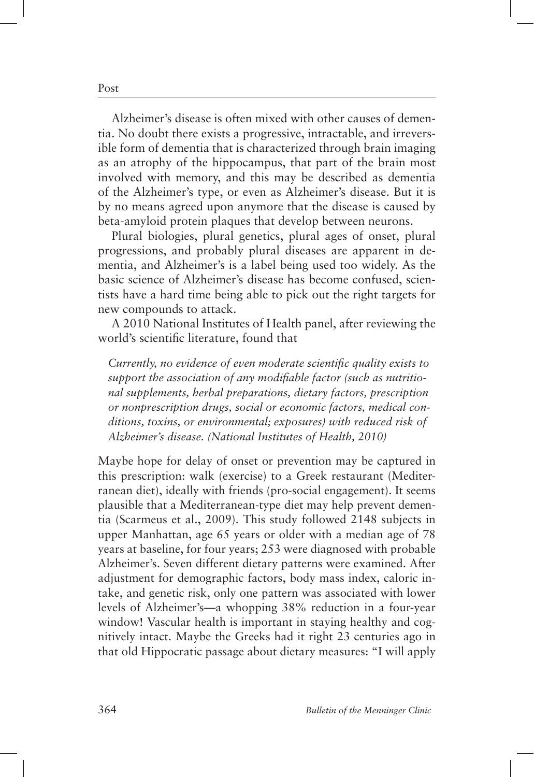Alzheimer's disease is often mixed with other causes of dementia. No doubt there exists a progressive, intractable, and irreversible form of dementia that is characterized through brain imaging as an atrophy of the hippocampus, that part of the brain most involved with memory, and this may be described as dementia of the Alzheimer's type, or even as Alzheimer's disease. But it is by no means agreed upon anymore that the disease is caused by beta-amyloid protein plaques that develop between neurons.

Plural biologies, plural genetics, plural ages of onset, plural progressions, and probably plural diseases are apparent in dementia, and Alzheimer's is a label being used too widely. As the basic science of Alzheimer's disease has become confused, scientists have a hard time being able to pick out the right targets for new compounds to attack.

A 2010 National Institutes of Health panel, after reviewing the world's scientific literature, found that

*Currently, no evidence of even moderate scientific quality exists to support the association of any modifiable factor (such as nutritional supplements, herbal preparations, dietary factors, prescription or nonprescription drugs, social or economic factors, medical conditions, toxins, or environmental; exposures) with reduced risk of Alzheimer's disease. (National Institutes of Health, 2010)*

Maybe hope for delay of onset or prevention may be captured in this prescription: walk (exercise) to a Greek restaurant (Mediterranean diet), ideally with friends (pro-social engagement). It seems plausible that a Mediterranean-type diet may help prevent dementia (Scarmeus et al., 2009). This study followed 2148 subjects in upper Manhattan, age 65 years or older with a median age of 78 years at baseline, for four years; 253 were diagnosed with probable Alzheimer's. Seven different dietary patterns were examined. After adjustment for demographic factors, body mass index, caloric intake, and genetic risk, only one pattern was associated with lower levels of Alzheimer's—a whopping 38% reduction in a four-year window! Vascular health is important in staying healthy and cognitively intact. Maybe the Greeks had it right 23 centuries ago in that old Hippocratic passage about dietary measures: "I will apply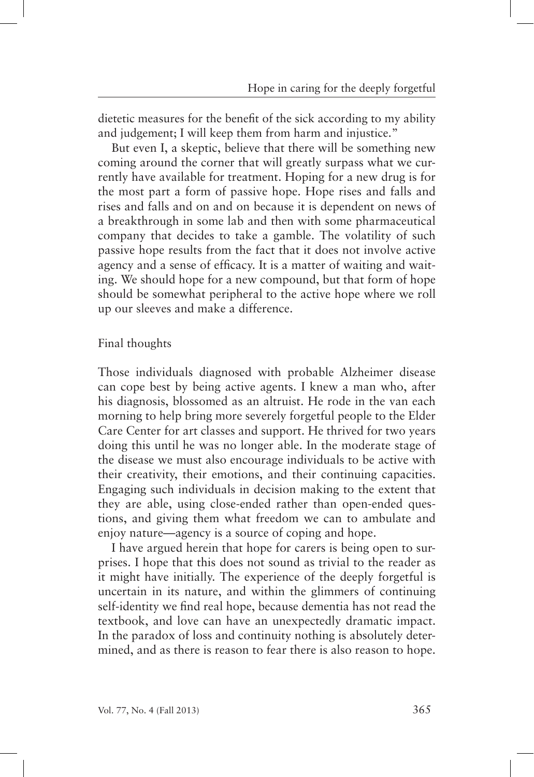dietetic measures for the benefit of the sick according to my ability and judgement; I will keep them from harm and injustice."

But even I, a skeptic, believe that there will be something new coming around the corner that will greatly surpass what we currently have available for treatment. Hoping for a new drug is for the most part a form of passive hope. Hope rises and falls and rises and falls and on and on because it is dependent on news of a breakthrough in some lab and then with some pharmaceutical company that decides to take a gamble. The volatility of such passive hope results from the fact that it does not involve active agency and a sense of efficacy. It is a matter of waiting and waiting. We should hope for a new compound, but that form of hope should be somewhat peripheral to the active hope where we roll up our sleeves and make a difference.

## Final thoughts

Those individuals diagnosed with probable Alzheimer disease can cope best by being active agents. I knew a man who, after his diagnosis, blossomed as an altruist. He rode in the van each morning to help bring more severely forgetful people to the Elder Care Center for art classes and support. He thrived for two years doing this until he was no longer able. In the moderate stage of the disease we must also encourage individuals to be active with their creativity, their emotions, and their continuing capacities. Engaging such individuals in decision making to the extent that they are able, using close-ended rather than open-ended questions, and giving them what freedom we can to ambulate and enjoy nature—agency is a source of coping and hope.

I have argued herein that hope for carers is being open to surprises. I hope that this does not sound as trivial to the reader as it might have initially. The experience of the deeply forgetful is uncertain in its nature, and within the glimmers of continuing self-identity we find real hope, because dementia has not read the textbook, and love can have an unexpectedly dramatic impact. In the paradox of loss and continuity nothing is absolutely determined, and as there is reason to fear there is also reason to hope.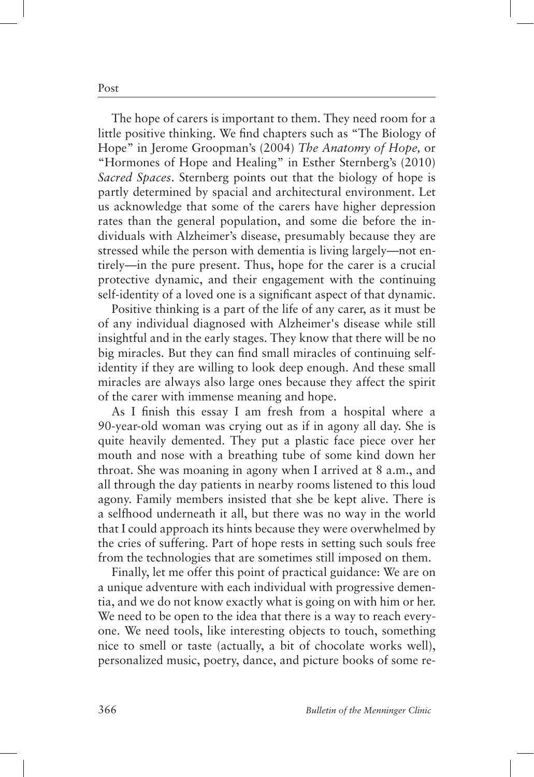The hope of carers is important to them. They need room for a little positive thinking. We find chapters such as "The Biology of Hope" in Jerome Groopman's (2004) *The Anatomy of Hope,* or "Hormones of Hope and Healing" in Esther Sternberg's (2010) *Sacred Spaces*. Sternberg points out that the biology of hope is partly determined by spacial and architectural environment. Let us acknowledge that some of the carers have higher depression rates than the general population, and some die before the in-

dividuals with Alzheimer's disease, presumably because they are stressed while the person with dementia is living largely—not entirely—in the pure present. Thus, hope for the carer is a crucial protective dynamic, and their engagement with the continuing self-identity of a loved one is a significant aspect of that dynamic.

Positive thinking is a part of the life of any carer, as it must be of any individual diagnosed with Alzheimer's disease while still insightful and in the early stages. They know that there will be no big miracles. But they can find small miracles of continuing selfidentity if they are willing to look deep enough. And these small miracles are always also large ones because they affect the spirit of the carer with immense meaning and hope.

As I finish this essay I am fresh from a hospital where a 90-year-old woman was crying out as if in agony all day. She is quite heavily demented. They put a plastic face piece over her mouth and nose with a breathing tube of some kind down her throat. She was moaning in agony when I arrived at 8 a.m., and all through the day patients in nearby rooms listened to this loud agony. Family members insisted that she be kept alive. There is a selfhood underneath it all, but there was no way in the world that I could approach its hints because they were overwhelmed by the cries of suffering. Part of hope rests in setting such souls free from the technologies that are sometimes still imposed on them.

Finally, let me offer this point of practical guidance: We are on a unique adventure with each individual with progressive dementia, and we do not know exactly what is going on with him or her. We need to be open to the idea that there is a way to reach everyone. We need tools, like interesting objects to touch, something nice to smell or taste (actually, a bit of chocolate works well), personalized music, poetry, dance, and picture books of some re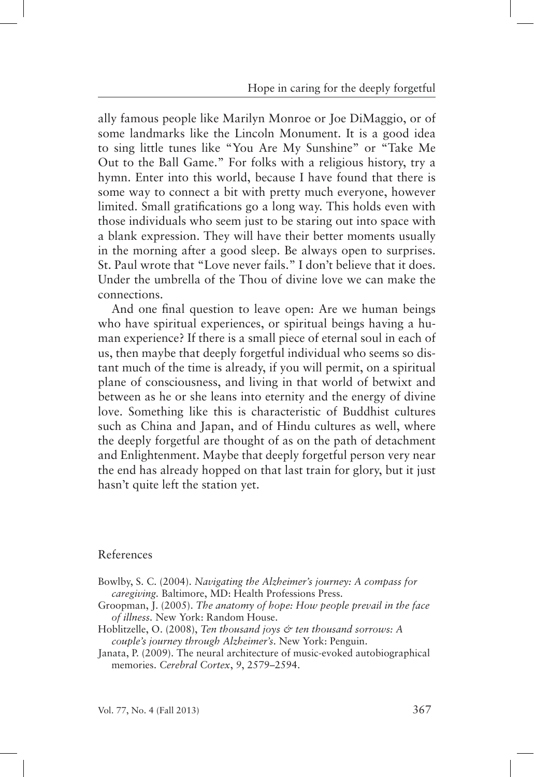ally famous people like Marilyn Monroe or Joe DiMaggio, or of some landmarks like the Lincoln Monument. It is a good idea to sing little tunes like "You Are My Sunshine" or "Take Me Out to the Ball Game." For folks with a religious history, try a hymn. Enter into this world, because I have found that there is some way to connect a bit with pretty much everyone, however limited. Small gratifications go a long way. This holds even with those individuals who seem just to be staring out into space with a blank expression. They will have their better moments usually in the morning after a good sleep. Be always open to surprises. St. Paul wrote that "Love never fails." I don't believe that it does. Under the umbrella of the Thou of divine love we can make the connections.

And one final question to leave open: Are we human beings who have spiritual experiences, or spiritual beings having a human experience? If there is a small piece of eternal soul in each of us, then maybe that deeply forgetful individual who seems so distant much of the time is already, if you will permit, on a spiritual plane of consciousness, and living in that world of betwixt and between as he or she leans into eternity and the energy of divine love. Something like this is characteristic of Buddhist cultures such as China and Japan, and of Hindu cultures as well, where the deeply forgetful are thought of as on the path of detachment and Enlightenment. Maybe that deeply forgetful person very near the end has already hopped on that last train for glory, but it just hasn't quite left the station yet.

### References

- Bowlby, S. C. (2004). *Navigating the Alzheimer's journey: A compass for caregiving.* Baltimore, MD: Health Professions Press.
- Groopman, J. (2005). *The anatomy of hope: How people prevail in the face of illness.* New York: Random House.
- Hoblitzelle, O. (2008), *Ten thousand joys & ten thousand sorrows: A couple's journey through Alzheimer's*. New York: Penguin.
- Janata, P. (2009). The neural architecture of music-evoked autobiographical memories. *Cerebral Cortex*, *9*, 2579–2594.